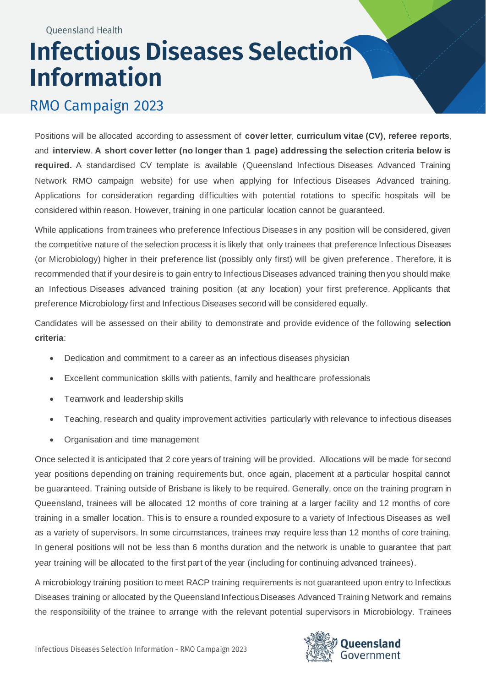## **Infectious Diseases Selection Information**

## RMO Campaign 2023

Positions will be allocated according to assessment of **cover letter**, **curriculum vitae (CV)**, **referee reports**, and **interview**. **A short cover letter (no longer than 1 page) addressing the selection criteria below is required.** A standardised CV template is available (Queensland Infectious Diseases Advanced Training Network RMO campaign website) for use when applying for Infectious Diseases Advanced training. Applications for consideration regarding difficulties with potential rotations to specific hospitals will be considered within reason. However, training in one particular location cannot be guaranteed.

While applications from trainees who preference Infectious Diseases in any position will be considered, given the competitive nature of the selection process it is likely that only trainees that preference Infectious Diseases (or Microbiology) higher in their preference list (possibly only first) will be given preference . Therefore, it is recommended that if your desire is to gain entry to Infectious Diseases advanced training then you should make an Infectious Diseases advanced training position (at any location) your first preference. Applicants that preference Microbiology first and Infectious Diseases second will be considered equally.

Candidates will be assessed on their ability to demonstrate and provide evidence of the following **selection criteria**:

- Dedication and commitment to a career as an infectious diseases physician
- Excellent communication skills with patients, family and healthcare professionals
- Teamwork and leadership skills
- Teaching, research and quality improvement activities particularly with relevance to infectious diseases
- Organisation and time management

Once selected it is anticipated that 2 core years of training will be provided. Allocations will be made for second year positions depending on training requirements but, once again, placement at a particular hospital cannot be guaranteed. Training outside of Brisbane is likely to be required. Generally, once on the training program in Queensland, trainees will be allocated 12 months of core training at a larger facility and 12 months of core training in a smaller location. This is to ensure a rounded exposure to a variety of Infectious Diseases as well as a variety of supervisors. In some circumstances, trainees may require less than 12 months of core training. In general positions will not be less than 6 months duration and the network is unable to guarantee that part year training will be allocated to the first part of the year (including for continuing advanced trainees).

A microbiology training position to meet RACP training requirements is not guaranteed upon entry to Infectious Diseases training or allocated by the Queensland Infectious Diseases Advanced Training Network and remains the responsibility of the trainee to arrange with the relevant potential supervisors in Microbiology. Trainees